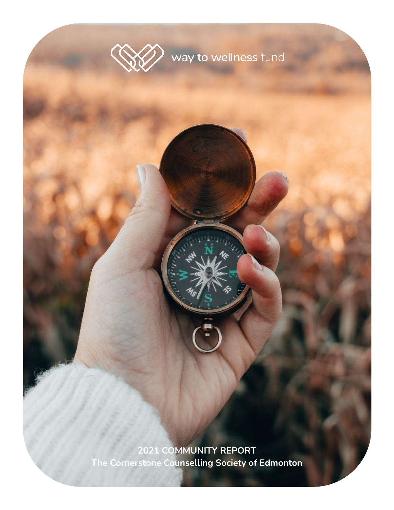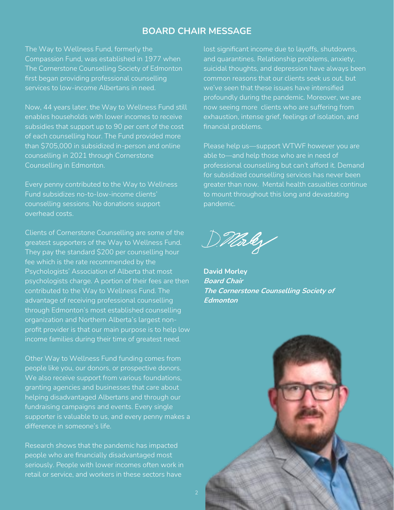### **BOARD CHAIR MESSAGE**

The Way to Wellness Fund, formerly the Compassion Fund, was established in 1977 when The Cornerstone Counselling Society of Edmonton first began providing professional counselling services to low-income Albertans in need.

Now, 44 years later, the Way to Wellness Fund still enables households with lower incomes to receive subsidies that support up to 90 per cent of the cost of each counselling hour. The Fund provided more than \$705,000 in subsidized in-person and online counselling in 2021 through Cornerstone Counselling in Edmonton.

Every penny contributed to the Way to Wellness Fund subsidizes no-to-low-income clients' counselling sessions. No donations support overhead costs.

Clients of Cornerstone Counselling are some of the greatest supporters of the Way to Wellness Fund. They pay the standard \$200 per counselling hour fee which is the rate recommended by the Psychologists' Association of Alberta that most psychologists charge. A portion of their fees are then contributed to the Way to Wellness Fund. The advantage of receiving professional counselling through Edmonton's most established counselling organization and Northern Alberta's largest nonprofit provider is that our main purpose is to help low income families during their time of greatest need.

Other Way to Wellness Fund funding comes from people like you, our donors, or prospective donors. We also receive support from various foundations, granting agencies and businesses that care about helping disadvantaged Albertans and through our fundraising campaigns and events. Every single supporter is valuable to us, and every penny makes a difference in someone's life.

Research shows that the pandemic has impacted people who are financially disadvantaged most seriously. People with lower incomes often work in retail or service, and workers in these sectors have

lost significant income due to layoffs, shutdowns, and quarantines. Relationship problems, anxiety, suicidal thoughts, and depression have always been common reasons that our clients seek us out, but we've seen that these issues have intensified profoundly during the pandemic. Moreover, we are now seeing more clients who are suffering from exhaustion, intense grief, feelings of isolation, and financial problems.

Please help us—support WTWF however you are able to—and help those who are in need of professional counselling but can't afford it. Demand for subsidized counselling services has never been greater than now. Mental health casualties continue to mount throughout this long and devastating pandemic.

Dillorley

**David Morley Board Chair The Cornerstone Counselling Society of Edmonton**

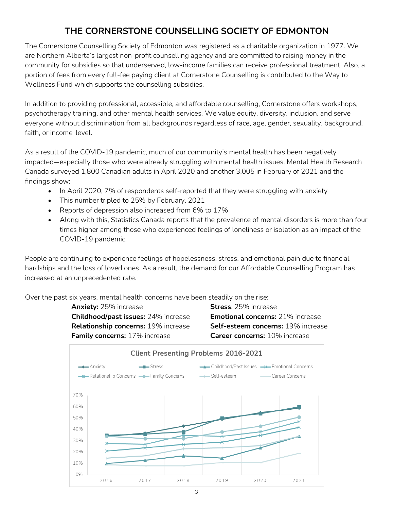## **THE CORNERSTONE COUNSELLING SOCIETY OF EDMONTON**

The Cornerstone Counselling Society of Edmonton was registered as a charitable organization in 1977. We are Northern Alberta's largest non-profit counselling agency and are committed to raising money in the community for subsidies so that underserved, low-income families can receive professional treatment. Also, a portion of fees from every full-fee paying client at Cornerstone Counselling is contributed to the Way to Wellness Fund which supports the counselling subsidies.

In addition to providing professional, accessible, and affordable counselling, Cornerstone offers workshops, psychotherapy training, and other mental health services. We value equity, diversity, inclusion, and serve everyone without discrimination from all backgrounds regardless of race, age, gender, sexuality, background, faith, or income-level.

As a result of the COVID-19 pandemic, much of our community's mental health has been negatively impacted—especially those who were already struggling with mental health issues. Mental Health Research Canada surveyed 1,800 Canadian adults in April 2020 and another 3,005 in February of 2021 and the findings show:

- In April 2020, 7% of respondents self-reported that they were struggling with anxiety
- This number tripled to 25% by February, 2021
- Reports of depression also increased from 6% to 17%
- Along with this, Statistics Canada reports that the prevalence of mental disorders is more than four times higher among those who experienced feelings of loneliness or isolation as an impact of the COVID-19 pandemic.

People are continuing to experience feelings of hopelessness, stress, and emotional pain due to financial hardships and the loss of loved ones. As a result, the demand for our Affordable Counselling Program has increased at an unprecedented rate.

Over the past six years, mental health concerns have been steadily on the rise:

**Anxiety:** 25% increase **Stress**: 25% increase **Childhood/past issues:** 24% increase **Emotional concerns:** 21% increase

**Relationship concerns:** 19% increase **Self-esteem concerns:** 19% increase **Family concerns:** 17% increase **Career concerns:** 10% increase

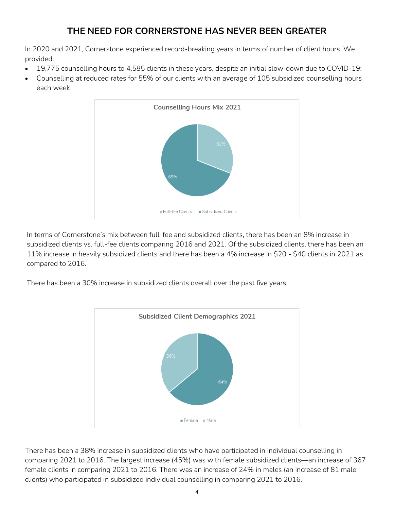## **THE NEED FOR CORNERSTONE HAS NEVER BEEN GREATER**

In 2020 and 2021, Cornerstone experienced record-breaking years in terms of number of client hours. We provided:

- 19,775 counselling hours to 4,585 clients in these years, despite an initial slow-down due to COVID-19;
- Counselling at reduced rates for 55% of our clients with an average of 105 subsidized counselling hours each week



In terms of Cornerstone's mix between full-fee and subsidized clients, there has been an 8% increase in subsidized clients vs. full-fee clients comparing 2016 and 2021. Of the subsidized clients, there has been an 11% increase in heavily subsidized clients and there has been a 4% increase in \$20 - \$40 clients in 2021 as compared to 2016.

There has been a 30% increase in subsidized clients overall over the past five years.



There has been a 38% increase in subsidized clients who have participated in individual counselling in comparing 2021 to 2016. The largest increase (45%) was with female subsidized clients—an increase of 367 female clients in comparing 2021 to 2016. There was an increase of 24% in males (an increase of 81 male clients) who participated in subsidized individual counselling in comparing 2021 to 2016.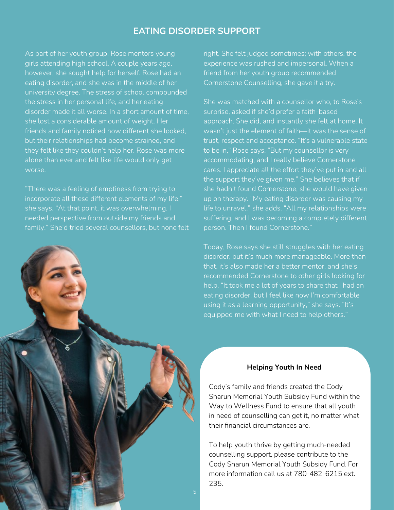### **EATING DISORDER SUPPORT**

As part of her youth group, Rose mentors young girls attending high school. A couple years ago, however, she sought help for herself. Rose had an eating disorder, and she was in the middle of her university degree. The stress of school compounded the stress in her personal life, and her eating disorder made it all worse. In a short amount of time, she lost a considerable amount of weight. Her friends and family noticed how different she looked, but their relationships had become strained, and they felt like they couldn't help her. Rose was more alone than ever and felt like life would only get worse.

"There was a feeling of emptiness from trying to incorporate all these different elements of my life," she says. "At that point, it was overwhelming. I needed perspective from outside my friends and family." She'd tried several counsellors, but none felt



right. She felt judged sometimes; with others, the experience was rushed and impersonal. When a friend from her youth group recommended Cornerstone Counselling, she gave it a try.

She was matched with a counsellor who, to Rose's surprise, asked if she'd prefer a faith-based approach. She did, and instantly she felt at home. It wasn't just the element of faith—it was the sense of trust, respect and acceptance. "It's a vulnerable state to be in," Rose says. "But my counsellor is very accommodating, and I really believe Cornerstone cares. I appreciate all the effort they've put in and all the support they've given me." She believes that if she hadn't found Cornerstone, she would have given up on therapy. "My eating disorder was causing my life to unravel," she adds. "All my relationships were suffering, and I was becoming a completely different person. Then I found Cornerstone."

Today, Rose says she still struggles with her eating disorder, but it's much more manageable. More than that, it's also made her a better mentor, and she's recommended Cornerstone to other girls looking for help. "It took me a lot of years to share that I had an eating disorder, but I feel like now I'm comfortable using it as a learning opportunity," she says. "It's equipped me with what I need to help others."

#### **Helping Youth In Need**

Cody's family and friends created the Cody Sharun Memorial Youth Subsidy Fund within the Way to Wellness Fund to ensure that all youth in need of counselling can get it, no matter what their financial circumstances are.

To help youth thrive by getting much-needed counselling support, please contribute to the Cody Sharun Memorial Youth Subsidy Fund. For more information call us at 780-482-6215 ext. 235.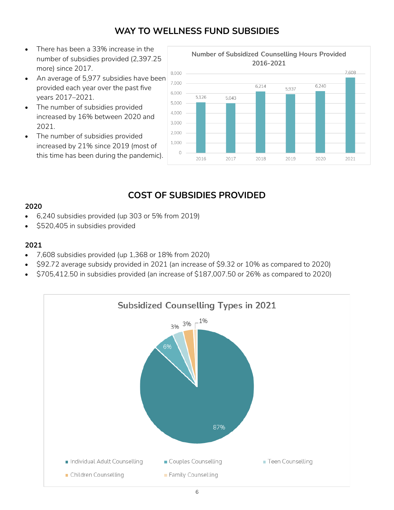## **WAY TO WELLNESS FUND SUBSIDIES**

- There has been a 33% increase in the number of subsidies provided (2,397.25 more) since 2017.
- An average of 5,977 subsidies have been provided each year over the past five years 2017–2021.
- The number of subsidies provided increased by 16% between 2020 and 2021.
- The number of subsidies provided increased by 21% since 2019 (most of this time has been during the pandemic).



## **COST OF SUBSIDIES PROVIDED**

#### **2020**

- 6,240 subsidies provided (up 303 or 5% from 2019)
- \$520,405 in subsidies provided

#### **2021**

- 7,608 subsidies provided (up 1,368 or 18% from 2020)
- \$92.72 average subsidy provided in 2021 (an increase of \$9.32 or 10% as compared to 2020)
- \$705,412.50 in subsidies provided (an increase of \$187,007.50 or 26% as compared to 2020)

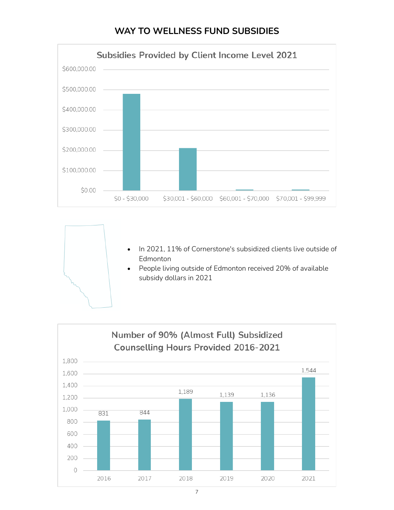### **WAY TO WELLNESS FUND SUBSIDIES**



• In 2021, 11% of Cornerstone's subsidized clients live outside of Edmonton

• People living outside of Edmonton received 20% of available subsidy dollars in 2021

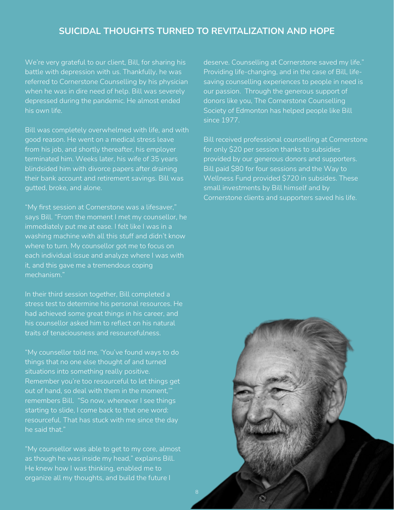### **SUICIDAL THOUGHTS TURNED TO REVITALIZATION AND HOPE**

We're very grateful to our client, Bill, for sharing his battle with depression with us. Thankfully, he was referred to Cornerstone Counselling by his physician when he was in dire need of help. Bill was severely depressed during the pandemic. He almost ended his own life.

Bill was completely overwhelmed with life, and with good reason. He went on a medical stress leave from his job, and shortly thereafter, his employer terminated him. Weeks later, his wife of 35 years blindsided him with divorce papers after draining their bank account and retirement savings. Bill was gutted, broke, and alone.

"My first session at Cornerstone was a lifesaver," says Bill. "From the moment I met my counsellor, he immediately put me at ease. I felt like I was in a washing machine with all this stuff and didn't know where to turn. My counsellor got me to focus on each individual issue and analyze where I was with it, and this gave me a tremendous coping mechanism."

In their third session together, Bill completed a stress test to determine his personal resources. He had achieved some great things in his career, and his counsellor asked him to reflect on his natural traits of tenaciousness and resourcefulness.

"My counsellor told me, 'You've found ways to do things that no one else thought of and turned situations into something really positive. Remember you're too resourceful to let things get out of hand, so deal with them in the moment,'" remembers Bill. "So now, whenever I see things starting to slide, I come back to that one word: resourceful. That has stuck with me since the day he said that."

"My counsellor was able to get to my core, almost as though he was inside my head," explains Bill. He knew how I was thinking, enabled me to organize all my thoughts, and build the future I

deserve. Counselling at Cornerstone saved my life." Providing life-changing, and in the case of Bill, lifesaving counselling experiences to people in need is our passion. Through the generous support of donors like you, The Cornerstone Counselling Society of Edmonton has helped people like Bill since 1977.

Bill received professional counselling at Cornerstone for only \$20 per session thanks to subsidies provided by our generous donors and supporters. Bill paid \$80 for four sessions and the Way to Wellness Fund provided \$720 in subsides. These small investments by Bill himself and by Cornerstone clients and supporters saved his life.

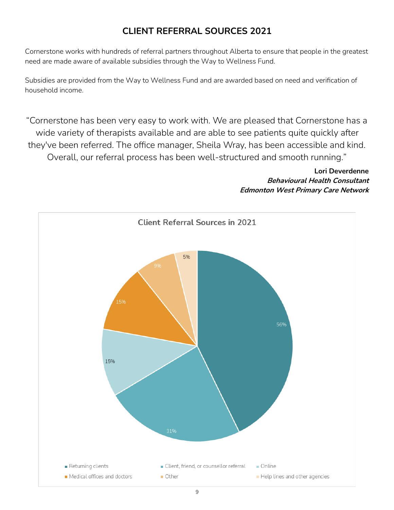## **CLIENT REFERRAL SOURCES 2021**

Cornerstone works with hundreds of referral partners throughout Alberta to ensure that people in the greatest need are made aware of available subsidies through the Way to Wellness Fund.

Subsidies are provided from the Way to Wellness Fund and are awarded based on need and verification of household income.

"Cornerstone has been very easy to work with. We are pleased that Cornerstone has a wide variety of therapists available and are able to see patients quite quickly after they've been referred. The office manager, Sheila Wray, has been accessible and kind. Overall, our referral process has been well-structured and smooth running."

#### **Lori Deverdenne Behavioural Health Consultant Edmonton West Primary Care Network**

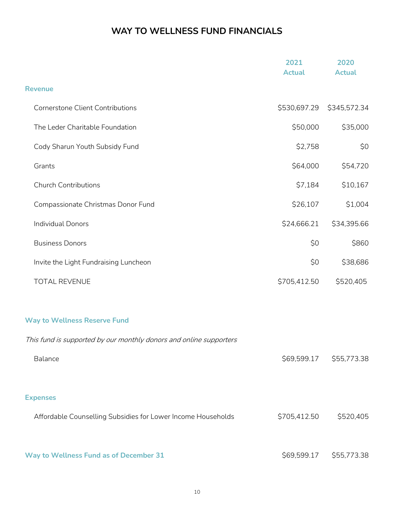# **WAY TO WELLNESS FUND FINANCIALS**

|                                                                    | 2021<br><b>Actual</b> | 2020<br><b>Actual</b>   |
|--------------------------------------------------------------------|-----------------------|-------------------------|
| <b>Revenue</b>                                                     |                       |                         |
| Cornerstone Client Contributions                                   | \$530,697.29          | \$345,572.34            |
| The Leder Charitable Foundation                                    | \$50,000              | \$35,000                |
| Cody Sharun Youth Subsidy Fund                                     | \$2,758               | \$0                     |
| Grants                                                             | \$64,000              | \$54,720                |
| <b>Church Contributions</b>                                        | \$7,184               | \$10,167                |
| Compassionate Christmas Donor Fund                                 | \$26,107              | \$1,004                 |
| <b>Individual Donors</b>                                           | \$24,666.21           | \$34,395.66             |
| <b>Business Donors</b>                                             | \$0                   | \$860                   |
| Invite the Light Fundraising Luncheon                              | \$0                   | \$38,686                |
| <b>TOTAL REVENUE</b>                                               | \$705,412.50          | \$520,405               |
| <b>Way to Wellness Reserve Fund</b>                                |                       |                         |
| This fund is supported by our monthly donors and online supporters |                       |                         |
| Balance                                                            |                       | \$69,599.17 \$55,773.38 |
| <b>Expenses</b>                                                    |                       |                         |
| Affordable Counselling Subsidies for Lower Income Households       | \$705,412.50          | \$520,405               |
| Way to Wellness Fund as of December 31                             | \$69,599.17           | \$55,773.38             |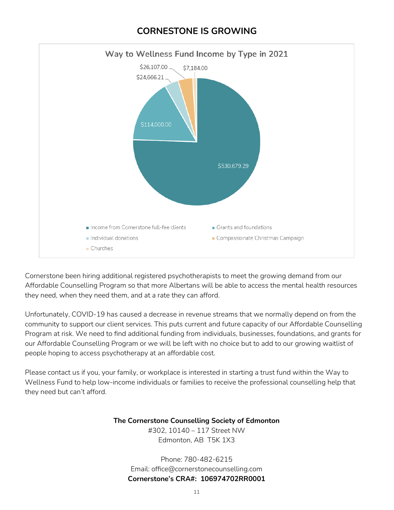## **CORNESTONE IS GROWING**



Cornerstone been hiring additional registered psychotherapists to meet the growing demand from our Affordable Counselling Program so that more Albertans will be able to access the mental health resources they need, when they need them, and at a rate they can afford.

Unfortunately, COVID-19 has caused a decrease in revenue streams that we normally depend on from the community to support our client services. This puts current and future capacity of our Affordable Counselling Program at risk. We need to find additional funding from individuals, businesses, foundations, and grants for our Affordable Counselling Program or we will be left with no choice but to add to our growing waitlist of people hoping to access psychotherapy at an affordable cost.

Please contact us if you, your family, or workplace is interested in starting a trust fund within the Way to Wellness Fund to help low-income individuals or families to receive the professional counselling help that they need but can't afford.

**The Cornerstone Counselling Society of Edmonton**

#302, 10140 – 117 Street NW Edmonton, AB T5K 1X3

Phone: 780-482-6215 Email: office@cornerstonecounselling.com **Cornerstone's CRA#: 106974702RR0001**